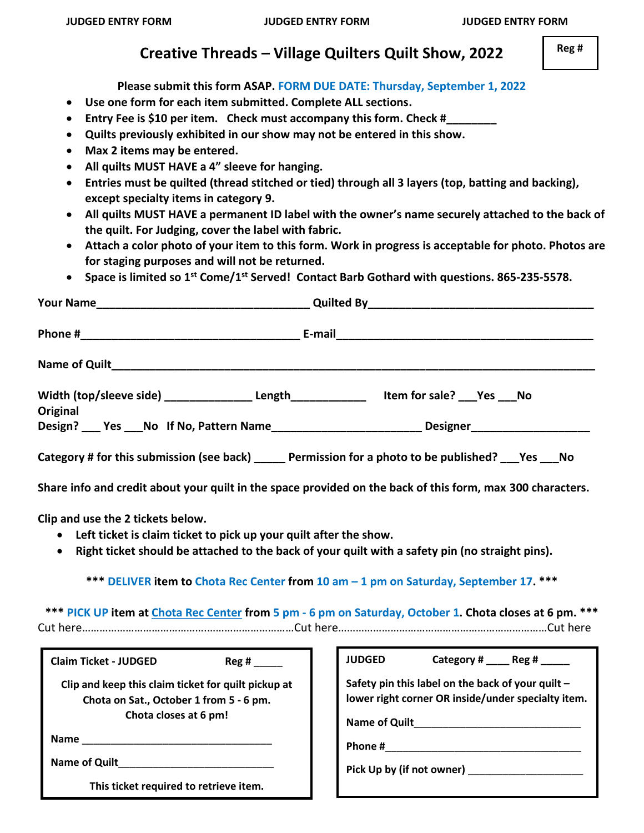## **Creative Threads – Village Quilters Quilt Show, 2022**

**Please submit this form ASAP. FORM DUE DATE: Thursday, September 1, 2022**

- **Use one form for each item submitted. Complete ALL sections.**
- Entry Fee is \$10 per item. Check must accompany this form. Check #
- **Quilts previously exhibited in our show may not be entered in this show.**
- **Max 2 items may be entered.**
- **All quilts MUST HAVE a 4" sleeve for hanging.**
- **Entries must be quilted (thread stitched or tied) through all 3 layers (top, batting and backing), except specialty items in category 9.**
- **All quilts MUST HAVE a permanent ID label with the owner's name securely attached to the back of the quilt. For Judging, cover the label with fabric.**
- **Attach a color photo of your item to this form. Work in progress is acceptable for photo. Photos are for staging purposes and will not be returned.**
- **Space is limited so 1st Come/1 st Served! Contact Barb Gothard with questions. 865-235-5578.**

| Width (top/sleeve side) _________________Length______________  Item for sale? ___Yes ___No<br><b>Original</b><br>Design? ___ Yes ___No If No, Pattern Name___________________________Designer_________________                                                  |                                                                                                                                                                                                                                                                                                     |
|-----------------------------------------------------------------------------------------------------------------------------------------------------------------------------------------------------------------------------------------------------------------|-----------------------------------------------------------------------------------------------------------------------------------------------------------------------------------------------------------------------------------------------------------------------------------------------------|
| Category # for this submission (see back) ______ Permission for a photo to be published? ___ Yes ___ No                                                                                                                                                         | Share info and credit about your quilt in the space provided on the back of this form, max 300 characters.                                                                                                                                                                                          |
| Clip and use the 2 tickets below.<br>Left ticket is claim ticket to pick up your quilt after the show.<br>$\bullet$<br>$\bullet$                                                                                                                                | Right ticket should be attached to the back of your quilt with a safety pin (no straight pins).<br>*** DELIVER item to Chota Rec Center from 10 am - 1 pm on Saturday, September 17. ***<br>*** PICK UP item at Chota Rec Center from 5 pm - 6 pm on Saturday, October 1. Chota closes at 6 pm. *** |
| <b>Claim Ticket - JUDGED</b><br>$\text{Reg } H$<br>Clip and keep this claim ticket for quilt pickup at<br>Chota on Sat., October 1 from 5 - 6 pm.<br>Chota closes at 6 pm!<br>Name of Quilt and the contract of Quilt<br>This ticket required to retrieve item. | JUDGED Category # Reg #<br>Safety pin this label on the back of your quilt -<br>lower right corner OR inside/under specialty item.<br>Pick Up by (if not owner) ______________________                                                                                                              |

 **Reg #**